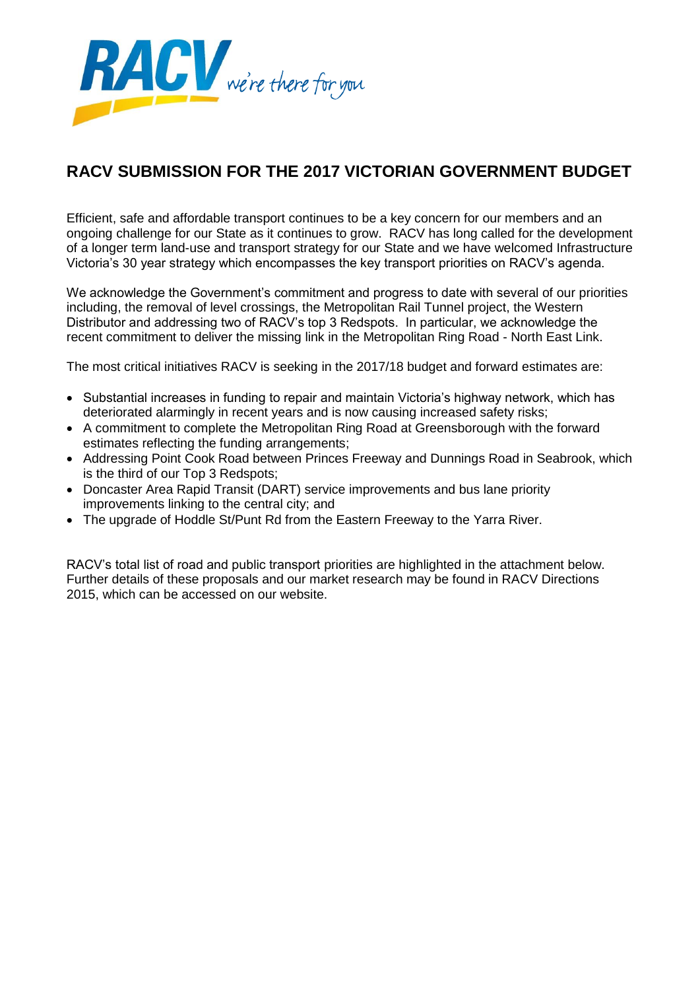

# **RACV SUBMISSION FOR THE 2017 VICTORIAN GOVERNMENT BUDGET**

Efficient, safe and affordable transport continues to be a key concern for our members and an ongoing challenge for our State as it continues to grow. RACV has long called for the development of a longer term land-use and transport strategy for our State and we have welcomed Infrastructure Victoria's 30 year strategy which encompasses the key transport priorities on RACV's agenda.

We acknowledge the Government's commitment and progress to date with several of our priorities including, the removal of level crossings, the Metropolitan Rail Tunnel project, the Western Distributor and addressing two of RACV's top 3 Redspots. In particular, we acknowledge the recent commitment to deliver the missing link in the Metropolitan Ring Road - North East Link.

The most critical initiatives RACV is seeking in the 2017/18 budget and forward estimates are:

- Substantial increases in funding to repair and maintain Victoria's highway network, which has deteriorated alarmingly in recent years and is now causing increased safety risks;
- A commitment to complete the Metropolitan Ring Road at Greensborough with the forward estimates reflecting the funding arrangements;
- Addressing Point Cook Road between Princes Freeway and Dunnings Road in Seabrook, which is the third of our Top 3 Redspots;
- Doncaster Area Rapid Transit (DART) service improvements and bus lane priority improvements linking to the central city; and
- The upgrade of Hoddle St/Punt Rd from the Eastern Freeway to the Yarra River.

RACV's total list of road and public transport priorities are highlighted in the attachment below. Further details of these proposals and our market research may be found in RACV Directions 2015, which can be accessed on our website.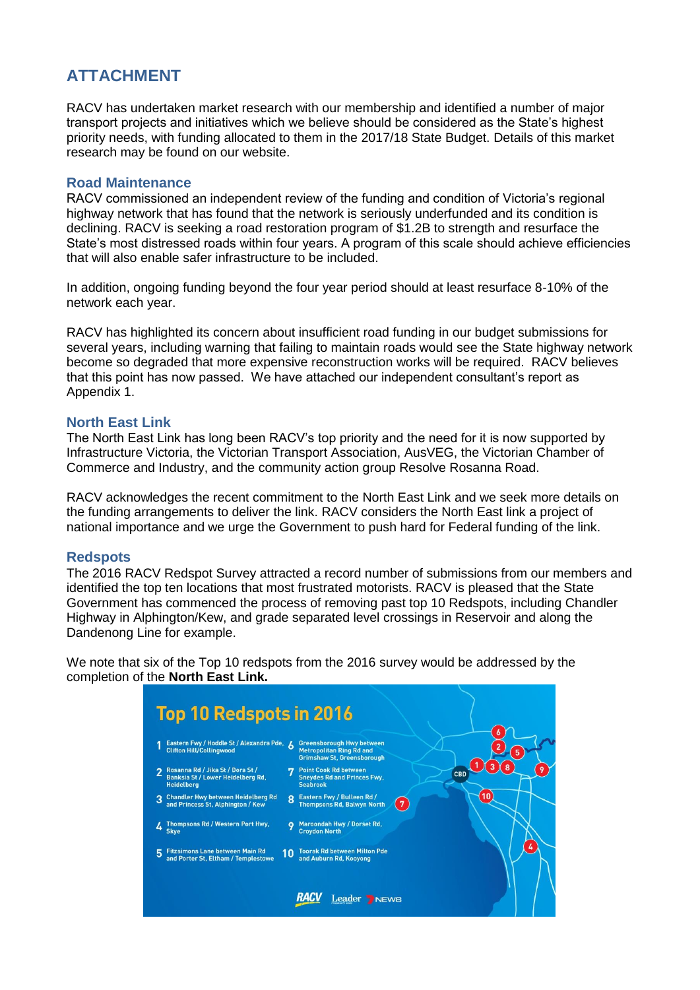# **ATTACHMENT**

RACV has undertaken market research with our membership and identified a number of major transport projects and initiatives which we believe should be considered as the State's highest priority needs, with funding allocated to them in the 2017/18 State Budget. Details of this market research may be found on our website.

## **Road Maintenance**

RACV commissioned an independent review of the funding and condition of Victoria's regional highway network that has found that the network is seriously underfunded and its condition is declining. RACV is seeking a road restoration program of \$1.2B to strength and resurface the State's most distressed roads within four years. A program of this scale should achieve efficiencies that will also enable safer infrastructure to be included.

In addition, ongoing funding beyond the four year period should at least resurface 8-10% of the network each year.

RACV has highlighted its concern about insufficient road funding in our budget submissions for several years, including warning that failing to maintain roads would see the State highway network become so degraded that more expensive reconstruction works will be required. RACV believes that this point has now passed. We have attached our independent consultant's report as Appendix 1.

# **North East Link**

The North East Link has long been RACV's top priority and the need for it is now supported by Infrastructure Victoria, the Victorian Transport Association, AusVEG, the Victorian Chamber of Commerce and Industry, and the community action group Resolve Rosanna Road.

RACV acknowledges the recent commitment to the North East Link and we seek more details on the funding arrangements to deliver the link. RACV considers the North East link a project of national importance and we urge the Government to push hard for Federal funding of the link.

## **Redspots**

The 2016 RACV Redspot Survey attracted a record number of submissions from our members and identified the top ten locations that most frustrated motorists. RACV is pleased that the State Government has commenced the process of removing past top 10 Redspots, including Chandler Highway in Alphington/Kew, and grade separated level crossings in Reservoir and along the Dandenong Line for example.

We note that six of the Top 10 redspots from the 2016 survey would be addressed by the completion of the **North East Link.** 

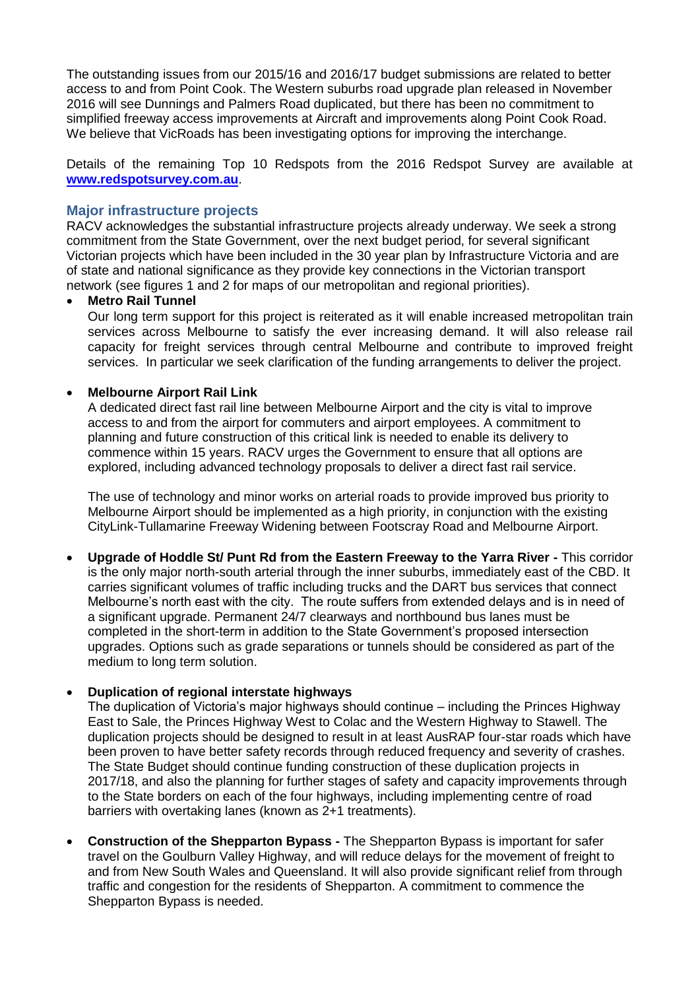The outstanding issues from our 2015/16 and 2016/17 budget submissions are related to better access to and from Point Cook. The Western suburbs road upgrade plan released in November 2016 will see Dunnings and Palmers Road duplicated, but there has been no commitment to simplified freeway access improvements at Aircraft and improvements along Point Cook Road. We believe that VicRoads has been investigating options for improving the interchange.

Details of the remaining Top 10 Redspots from the 2016 Redspot Survey are available at **[www.redspotsurvey.com.au](http://www.redspotsurvey.com.au/)**.

## **Major infrastructure projects**

RACV acknowledges the substantial infrastructure projects already underway. We seek a strong commitment from the State Government, over the next budget period, for several significant Victorian projects which have been included in the 30 year plan by Infrastructure Victoria and are of state and national significance as they provide key connections in the Victorian transport network (see figures 1 and 2 for maps of our metropolitan and regional priorities).

## **Metro Rail Tunnel**

Our long term support for this project is reiterated as it will enable increased metropolitan train services across Melbourne to satisfy the ever increasing demand. It will also release rail capacity for freight services through central Melbourne and contribute to improved freight services. In particular we seek clarification of the funding arrangements to deliver the project.

## **Melbourne Airport Rail Link**

A dedicated direct fast rail line between Melbourne Airport and the city is vital to improve access to and from the airport for commuters and airport employees. A commitment to planning and future construction of this critical link is needed to enable its delivery to commence within 15 years. RACV urges the Government to ensure that all options are explored, including advanced technology proposals to deliver a direct fast rail service.

The use of technology and minor works on arterial roads to provide improved bus priority to Melbourne Airport should be implemented as a high priority, in conjunction with the existing CityLink-Tullamarine Freeway Widening between Footscray Road and Melbourne Airport.

 **Upgrade of Hoddle St/ Punt Rd from the Eastern Freeway to the Yarra River -** This corridor is the only major north-south arterial through the inner suburbs, immediately east of the CBD. It carries significant volumes of traffic including trucks and the DART bus services that connect Melbourne's north east with the city. The route suffers from extended delays and is in need of a significant upgrade. Permanent 24/7 clearways and northbound bus lanes must be completed in the short-term in addition to the State Government's proposed intersection upgrades. Options such as grade separations or tunnels should be considered as part of the medium to long term solution.

## **Duplication of regional interstate highways**

The duplication of Victoria's major highways should continue – including the Princes Highway East to Sale, the Princes Highway West to Colac and the Western Highway to Stawell. The duplication projects should be designed to result in at least AusRAP four-star roads which have been proven to have better safety records through reduced frequency and severity of crashes. The State Budget should continue funding construction of these duplication projects in 2017/18, and also the planning for further stages of safety and capacity improvements through to the State borders on each of the four highways, including implementing centre of road barriers with overtaking lanes (known as 2+1 treatments).

 **Construction of the Shepparton Bypass -** The Shepparton Bypass is important for safer travel on the Goulburn Valley Highway, and will reduce delays for the movement of freight to and from New South Wales and Queensland. It will also provide significant relief from through traffic and congestion for the residents of Shepparton. A commitment to commence the Shepparton Bypass is needed.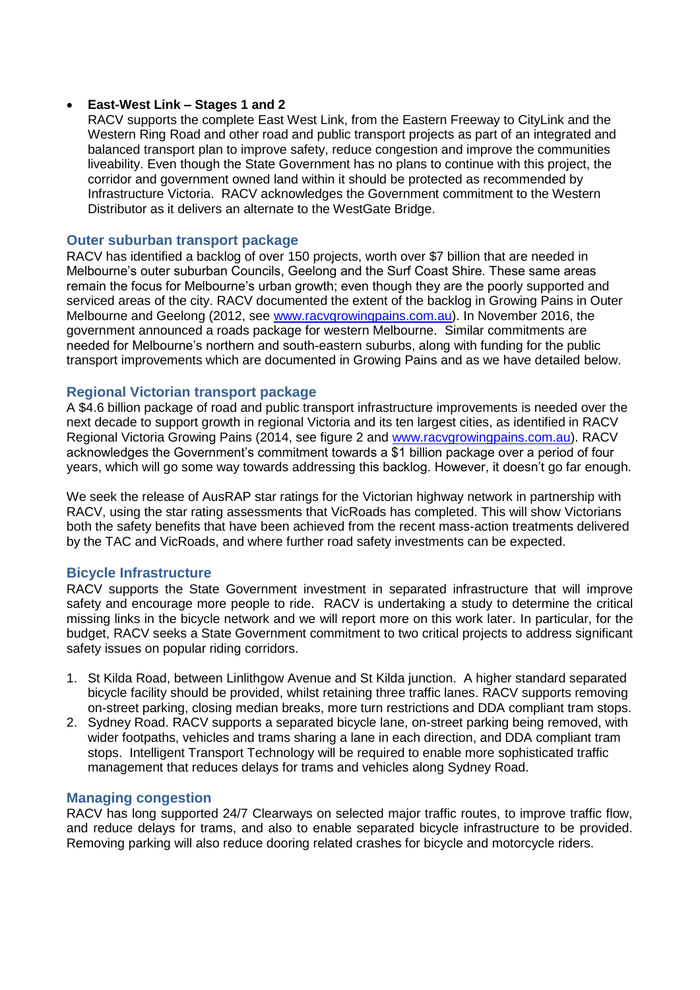## **East-West Link – Stages 1 and 2**

RACV supports the complete East West Link, from the Eastern Freeway to CityLink and the Western Ring Road and other road and public transport projects as part of an integrated and balanced transport plan to improve safety, reduce congestion and improve the communities liveability. Even though the State Government has no plans to continue with this project, the corridor and government owned land within it should be protected as recommended by Infrastructure Victoria. RACV acknowledges the Government commitment to the Western Distributor as it delivers an alternate to the WestGate Bridge.

## **Outer suburban transport package**

RACV has identified a backlog of over 150 projects, worth over \$7 billion that are needed in Melbourne's outer suburban Councils, Geelong and the Surf Coast Shire. These same areas remain the focus for Melbourne's urban growth; even though they are the poorly supported and serviced areas of the city. RACV documented the extent of the backlog in Growing Pains in Outer Melbourne and Geelong (2012, see [www.racvgrowingpains.com.au\)](http://www.racvgrowingpains.com.au/). In November 2016, the government announced a roads package for western Melbourne. Similar commitments are needed for Melbourne's northern and south-eastern suburbs, along with funding for the public transport improvements which are documented in Growing Pains and as we have detailed below.

## **Regional Victorian transport package**

A \$4.6 billion package of road and public transport infrastructure improvements is needed over the next decade to support growth in regional Victoria and its ten largest cities, as identified in RACV Regional Victoria Growing Pains (2014, see figure 2 and [www.racvgrowingpains.com.au\)](http://www.racvgrowingpains.com.au/). RACV acknowledges the Government's commitment towards a \$1 billion package over a period of four years, which will go some way towards addressing this backlog. However, it doesn't go far enough.

We seek the release of AusRAP star ratings for the Victorian highway network in partnership with RACV, using the star rating assessments that VicRoads has completed. This will show Victorians both the safety benefits that have been achieved from the recent mass-action treatments delivered by the TAC and VicRoads, and where further road safety investments can be expected.

#### **Bicycle Infrastructure**

RACV supports the State Government investment in separated infrastructure that will improve safety and encourage more people to ride. RACV is undertaking a study to determine the critical missing links in the bicycle network and we will report more on this work later. In particular, for the budget, RACV seeks a State Government commitment to two critical projects to address significant safety issues on popular riding corridors.

- 1. St Kilda Road, between Linlithgow Avenue and St Kilda junction. A higher standard separated bicycle facility should be provided, whilst retaining three traffic lanes. RACV supports removing on-street parking, closing median breaks, more turn restrictions and DDA compliant tram stops.
- 2. Sydney Road. RACV supports a separated bicycle lane, on-street parking being removed, with wider footpaths, vehicles and trams sharing a lane in each direction, and DDA compliant tram stops. Intelligent Transport Technology will be required to enable more sophisticated traffic management that reduces delays for trams and vehicles along Sydney Road.

#### **Managing congestion**

RACV has long supported 24/7 Clearways on selected major traffic routes, to improve traffic flow, and reduce delays for trams, and also to enable separated bicycle infrastructure to be provided. Removing parking will also reduce dooring related crashes for bicycle and motorcycle riders.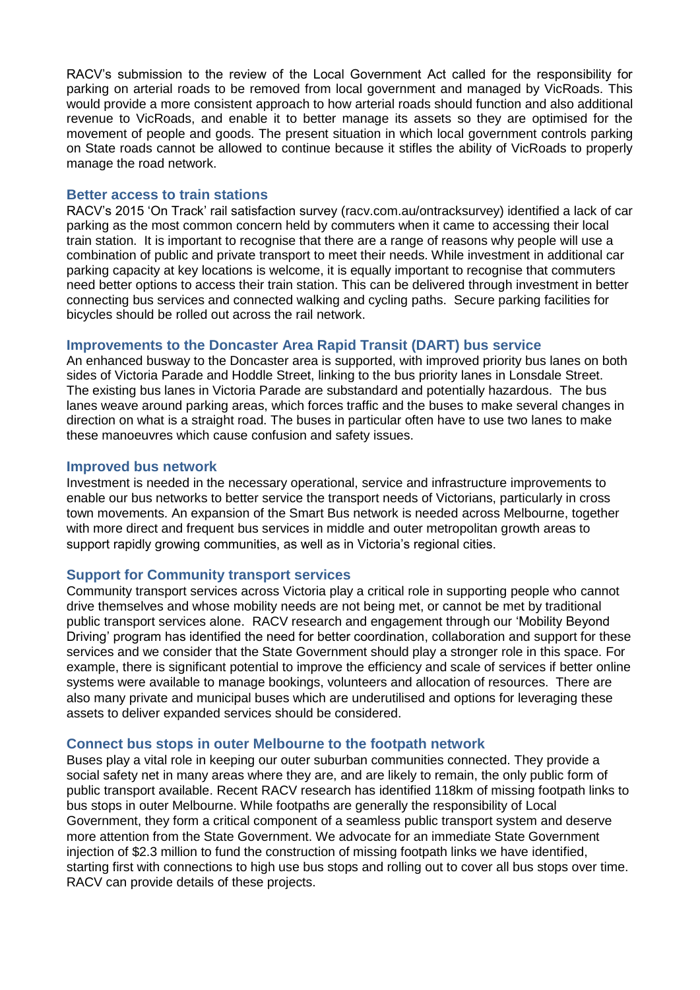RACV's submission to the review of the Local Government Act called for the responsibility for parking on arterial roads to be removed from local government and managed by VicRoads. This would provide a more consistent approach to how arterial roads should function and also additional revenue to VicRoads, and enable it to better manage its assets so they are optimised for the movement of people and goods. The present situation in which local government controls parking on State roads cannot be allowed to continue because it stifles the ability of VicRoads to properly manage the road network.

## **Better access to train stations**

RACV's 2015 'On Track' rail satisfaction survey (racv.com.au/ontracksurvey) identified a lack of car parking as the most common concern held by commuters when it came to accessing their local train station. It is important to recognise that there are a range of reasons why people will use a combination of public and private transport to meet their needs. While investment in additional car parking capacity at key locations is welcome, it is equally important to recognise that commuters need better options to access their train station. This can be delivered through investment in better connecting bus services and connected walking and cycling paths. Secure parking facilities for bicycles should be rolled out across the rail network.

# **Improvements to the Doncaster Area Rapid Transit (DART) bus service**

An enhanced busway to the Doncaster area is supported, with improved priority bus lanes on both sides of Victoria Parade and Hoddle Street, linking to the bus priority lanes in Lonsdale Street. The existing bus lanes in Victoria Parade are substandard and potentially hazardous. The bus lanes weave around parking areas, which forces traffic and the buses to make several changes in direction on what is a straight road. The buses in particular often have to use two lanes to make these manoeuvres which cause confusion and safety issues.

## **Improved bus network**

Investment is needed in the necessary operational, service and infrastructure improvements to enable our bus networks to better service the transport needs of Victorians, particularly in cross town movements. An expansion of the Smart Bus network is needed across Melbourne, together with more direct and frequent bus services in middle and outer metropolitan growth areas to support rapidly growing communities, as well as in Victoria's regional cities.

## **Support for Community transport services**

Community transport services across Victoria play a critical role in supporting people who cannot drive themselves and whose mobility needs are not being met, or cannot be met by traditional public transport services alone. RACV research and engagement through our 'Mobility Beyond Driving' program has identified the need for better coordination, collaboration and support for these services and we consider that the State Government should play a stronger role in this space. For example, there is significant potential to improve the efficiency and scale of services if better online systems were available to manage bookings, volunteers and allocation of resources. There are also many private and municipal buses which are underutilised and options for leveraging these assets to deliver expanded services should be considered.

## **Connect bus stops in outer Melbourne to the footpath network**

Buses play a vital role in keeping our outer suburban communities connected. They provide a social safety net in many areas where they are, and are likely to remain, the only public form of public transport available. Recent RACV research has identified 118km of missing footpath links to bus stops in outer Melbourne. While footpaths are generally the responsibility of Local Government, they form a critical component of a seamless public transport system and deserve more attention from the State Government. We advocate for an immediate State Government injection of \$2.3 million to fund the construction of missing footpath links we have identified, starting first with connections to high use bus stops and rolling out to cover all bus stops over time. RACV can provide details of these projects.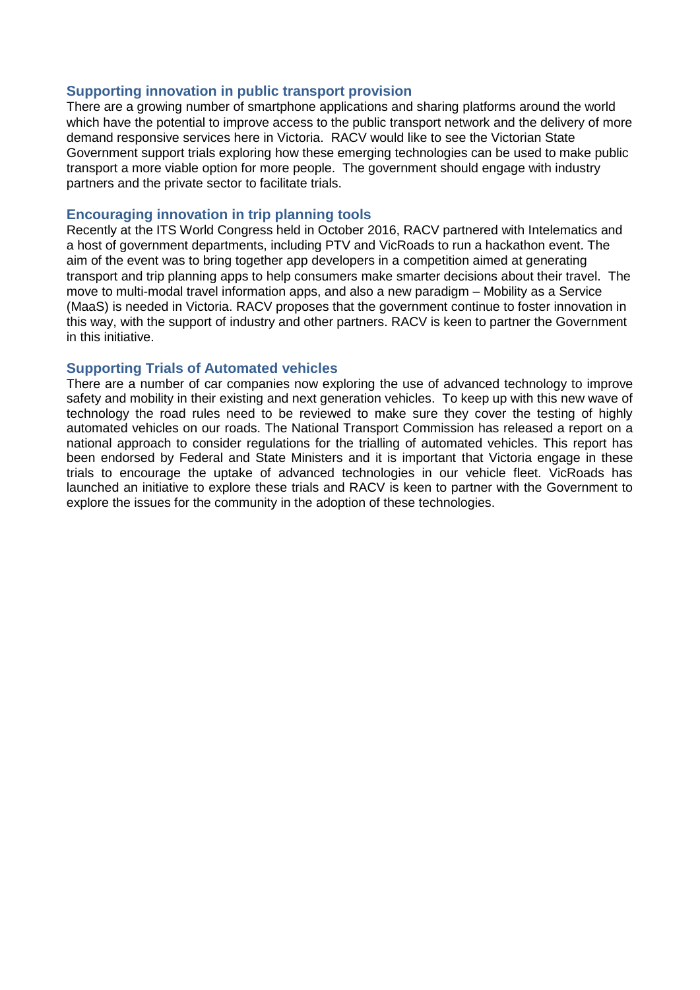## **Supporting innovation in public transport provision**

There are a growing number of smartphone applications and sharing platforms around the world which have the potential to improve access to the public transport network and the delivery of more demand responsive services here in Victoria. RACV would like to see the Victorian State Government support trials exploring how these emerging technologies can be used to make public transport a more viable option for more people. The government should engage with industry partners and the private sector to facilitate trials.

## **Encouraging innovation in trip planning tools**

Recently at the ITS World Congress held in October 2016, RACV partnered with Intelematics and a host of government departments, including PTV and VicRoads to run a hackathon event. The aim of the event was to bring together app developers in a competition aimed at generating transport and trip planning apps to help consumers make smarter decisions about their travel. The move to multi-modal travel information apps, and also a new paradigm – Mobility as a Service (MaaS) is needed in Victoria. RACV proposes that the government continue to foster innovation in this way, with the support of industry and other partners. RACV is keen to partner the Government in this initiative.

## **Supporting Trials of Automated vehicles**

There are a number of car companies now exploring the use of advanced technology to improve safety and mobility in their existing and next generation vehicles. To keep up with this new wave of technology the road rules need to be reviewed to make sure they cover the testing of highly automated vehicles on our roads. The National Transport Commission has released a report on a national approach to consider regulations for the trialling of automated vehicles. This report has been endorsed by Federal and State Ministers and it is important that Victoria engage in these trials to encourage the uptake of advanced technologies in our vehicle fleet. VicRoads has launched an initiative to explore these trials and RACV is keen to partner with the Government to explore the issues for the community in the adoption of these technologies.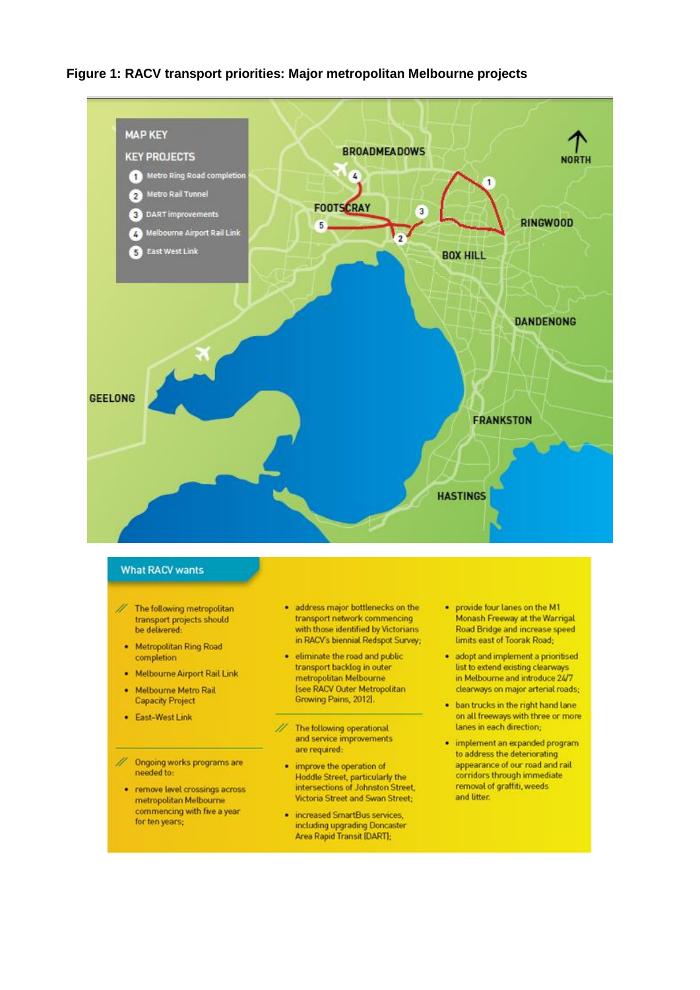## Figure 1: RACV transport priorities: Major metropolitan Melbourne projects



#### **What RACV wants**

- $^{\prime\prime}$ The following metropolitan transport projects should be delivered:
	- Metropolitan Ring Road completion
	- Melbourne Airport Rail Link
	- Melbourne Metro Rail **Capacity Project**
	- East-West Link
- Ongoing works programs are needed to:
- remove level crossings across metropolitan Melbourne commencing with five a year for ten years;
- · address major bottlenecks on the transport network commencing with those identified by Victorians in RACV's biennial Redspot Survey;
- · eliminate the road and public transport backlog in outer metropolitan Melbourne **Isee RACV Outer Metropolitan** Growing Pains, 2012).
- 11 The following operational and service improvements are required:
	- improve the operation of Hoddle Street, particularly the<br>intersections of Johnston Street, Victoria Street and Swan Street;
- increased SmartBus services, including upgrading Doncaster<br>Area Rapid Transit (DART);
- provide four lanes on the M1 Monash Freeway at the Warrigal Road Bridge and increase speed limits east of Toorak Road;
- · adopt and implement a prioritised list to extend existing clearways in Melbourne and introduce 24/7 clearways on major arterial roads;
- . ban trucks in the right hand lane on all freeways with three or more lanes in each direction;
- · implement an expanded program to address the deteriorating appearance of our road and rail corridors through immediate removal of graffiti, weeds and litter.